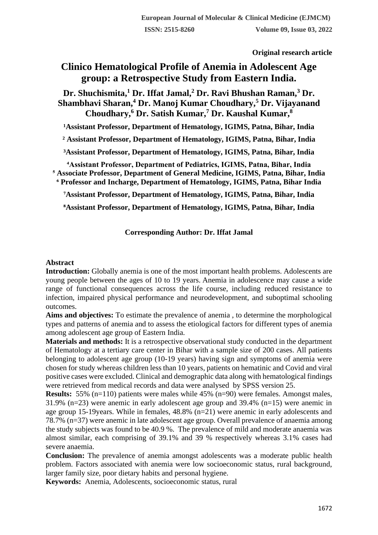**Original research article** 

# **Clinico Hematological Profile of Anemia in Adolescent Age group: a Retrospective Study from Eastern India.**

**Dr. Shuchismita,<sup>1</sup> Dr. Iffat Jamal,<sup>2</sup> Dr. Ravi Bhushan Raman,<sup>3</sup> Dr. Shambhavi Sharan,<sup>4</sup> Dr. Manoj Kumar Choudhary,<sup>5</sup> Dr. Vijayanand Choudhary,<sup>6</sup> Dr. Satish Kumar,<sup>7</sup> Dr. Kaushal Kumar,<sup>8</sup>**

<sup>1</sup>Assistant Professor, Department of Hematology, IGIMS, Patna, Bihar, India

**² Assistant Professor, Department of Hematology, IGIMS, Patna, Bihar, India**

**³Assistant Professor, Department of Hematology, IGIMS, Patna, Bihar, India**

**⁴Assistant Professor, Department of Pediatrics, IGIMS, Patna, Bihar, India ⁵ Associate Professor, Department of General Medicine, IGIMS, Patna, Bihar, India**

**⁶ Professor and Incharge, Department of Hematology, IGIMS, Patna, Bihar India ⁷Assistant Professor, Department of Hematology, IGIMS, Patna, Bihar, India**

**⁸Assistant Professor, Department of Hematology, IGIMS, Patna, Bihar, India**

# **Corresponding Author: Dr. Iffat Jamal**

## **Abstract**

**Introduction:** Globally anemia is one of the most important health problems. Adolescents are young people between the ages of 10 to 19 years. Anemia in adolescence may cause a wide range of functional consequences across the life course, including reduced resistance to infection, impaired physical performance and neurodevelopment, and suboptimal schooling outcomes.

**Aims and objectives:** To estimate the prevalence of anemia , to determine the morphological types and patterns of anemia and to assess the etiological factors for different types of anemia among adolescent age group of Eastern India.

**Materials and methods:** It is a retrospective observational study conducted in the department of Hematology at a tertiary care center in Bihar with a sample size of 200 cases. All patients belonging to adolescent age group (10-19 years) having sign and symptoms of anemia were chosen for study whereas children less than 10 years, patients on hematinic and Covid and viral positive cases were excluded. Clinical and demographic data along with hematological findings were retrieved from medical records and data were analysed by SPSS version 25.

**Results:** 55% (n=110) patients were males while 45% (n=90) were females. Amongst males, 31.9% (n=23) were anemic in early adolescent age group and 39.4% (n=15) were anemic in age group 15-19years. While in females, 48.8% (n=21) were anemic in early adolescents and 78.7% (n=37) were anemic in late adolescent age group. Overall prevalence of anaemia among the study subjects was found to be 40.9 %. The prevalence of mild and moderate anaemia was almost similar, each comprising of 39.1% and 39 % respectively whereas 3.1% cases had severe anaemia.

**Conclusion:** The prevalence of anemia amongst adolescents was a moderate public health problem. Factors associated with anemia were low socioeconomic status, rural background, larger family size, poor dietary habits and personal hygiene.

**Keywords:** Anemia, Adolescents, socioeconomic status, rural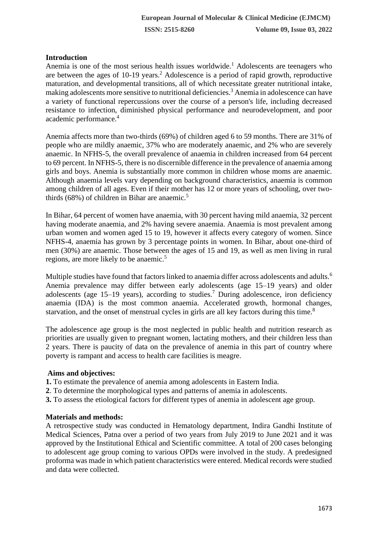# **Introduction**

Anemia is one of the most serious health issues worldwide.<sup>1</sup> Adolescents are teenagers who are between the ages of  $10-19$  years.<sup>2</sup> Adolescence is a period of rapid growth, reproductive maturation, and developmental transitions, all of which necessitate greater nutritional intake, making adolescents more sensitive to nutritional deficiencies.<sup>3</sup> Anemia in adolescence can have a variety of functional repercussions over the course of a person's life, including decreased resistance to infection, diminished physical performance and neurodevelopment, and poor academic performance.<sup>4</sup>

Anemia affects more than two-thirds (69%) of children aged 6 to 59 months. There are 31% of people who are mildly anaemic, 37% who are moderately anaemic, and 2% who are severely anaemic. In NFHS-5, the overall prevalence of anaemia in children increased from 64 percent to 69 percent. In NFHS-5, there is no discernible difference in the prevalence of anaemia among girls and boys. Anemia is substantially more common in children whose moms are anaemic. Although anaemia levels vary depending on background characteristics, anaemia is common among children of all ages. Even if their mother has 12 or more years of schooling, over twothirds  $(68\%)$  of children in Bihar are anaemic.<sup>5</sup>

In Bihar, 64 percent of women have anaemia, with 30 percent having mild anaemia, 32 percent having moderate anaemia, and 2% having severe anaemia. Anaemia is most prevalent among urban women and women aged 15 to 19, however it affects every category of women. Since NFHS-4, anaemia has grown by 3 percentage points in women. In Bihar, about one-third of men (30%) are anaemic. Those between the ages of 15 and 19, as well as men living in rural regions, are more likely to be anaemic.<sup>5</sup>

Multiple studies have found that factors linked to anaemia differ across adolescents and adults.<sup>6</sup> Anemia prevalence may differ between early adolescents (age 15–19 years) and older adolescents (age 15–19 years), according to studies.<sup>7</sup> During adolescence, iron deficiency anaemia (IDA) is the most common anaemia. Accelerated growth, hormonal changes, starvation, and the onset of menstrual cycles in girls are all key factors during this time.<sup>8</sup>

The adolescence age group is the most neglected in public health and nutrition research as priorities are usually given to pregnant women, lactating mothers, and their children less than 2 years. There is paucity of data on the prevalence of anemia in this part of country where poverty is rampant and access to health care facilities is meagre.

# **Aims and objectives:**

- **1.** To estimate the prevalence of anemia among adolescents in Eastern India.
- **2**. To determine the morphological types and patterns of anemia in adolescents.
- **3.** To assess the etiological factors for different types of anemia in adolescent age group.

# **Materials and methods:**

A retrospective study was conducted in Hematology department, Indira Gandhi Institute of Medical Sciences, Patna over a period of two years from July 2019 to June 2021 and it was approved by the Institutional Ethical and Scientific committee. A total of 200 cases belonging to adolescent age group coming to various OPDs were involved in the study. A predesigned proforma was made in which patient characteristics were entered. Medical records were studied and data were collected.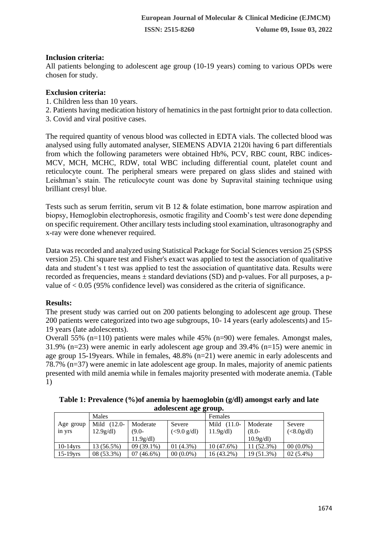# **Inclusion criteria:**

All patients belonging to adolescent age group (10-19 years) coming to various OPDs were chosen for study.

## **Exclusion criteria:**

- 1. Children less than 10 years.
- 2. Patients having medication history of hematinics in the past fortnight prior to data collection.
- 3. Covid and viral positive cases.

The required quantity of venous blood was collected in EDTA vials. The collected blood was analysed using fully automated analyser, SIEMENS ADVIA 2120i having 6 part differentials from which the following parameters were obtained Hb%, PCV, RBC count, RBC indices-MCV, MCH, MCHC, RDW, total WBC including differential count, platelet count and reticulocyte count. The peripheral smears were prepared on glass slides and stained with Leishman's stain. The reticulocyte count was done by Supravital staining technique using brilliant cresyl blue.

Tests such as serum ferritin, serum vit B 12 & folate estimation, bone marrow aspiration and biopsy, Hemoglobin electrophoresis, osmotic fragility and Coomb's test were done depending on specific requirement. Other ancillary tests including stool examination, ultrasonography and x-ray were done whenever required.

Data was recorded and analyzed using Statistical Package for Social Sciences version 25 (SPSS version 25). Chi square test and Fisher's exact was applied to test the association of qualitative data and student's t test was applied to test the association of quantitative data. Results were recorded as frequencies, means  $\pm$  standard deviations (SD) and p-values. For all purposes, a pvalue of < 0.05 (95% confidence level) was considered as the criteria of significance.

# **Results:**

The present study was carried out on 200 patients belonging to adolescent age group. These 200 patients were categorized into two age subgroups, 10- 14 years (early adolescents) and 15- 19 years (late adolescents).

Overall 55% (n=110) patients were males while 45% (n=90) were females. Amongst males, 31.9% (n=23) were anemic in early adolescent age group and 39.4% (n=15) were anemic in age group 15-19years. While in females, 48.8% (n=21) were anemic in early adolescents and 78.7% (n=37) were anemic in late adolescent age group. In males, majority of anemic patients presented with mild anemia while in females majority presented with moderate anemia. (Table 1)

**Table 1: Prevalence (%)of anemia by haemoglobin (g/dl) amongst early and late adolescent age group.**

|             | Males             |              |             | Females       |            |             |  |  |
|-------------|-------------------|--------------|-------------|---------------|------------|-------------|--|--|
| Age group   | Mild<br>$(12.0 -$ | Moderate     | Severe      | Mild $(11.0-$ | Moderate   | Severe      |  |  |
| in yrs      | 12.9g/dl          | $(9.0 -$     | (<9.0 g/dl) | 11.9g/dl      | $(8.0 -$   | (<8.0g/dl)  |  |  |
|             |                   | 11.9g/dl     |             |               | 10.9g/dl   |             |  |  |
| $10-14$ vrs | 13 (56.5%)        | $09(39.1\%)$ | $01(4.3\%)$ | $10(47.6\%)$  | 11 (52.3%) | $00(0.0\%)$ |  |  |
| $15-19$ yrs | $08(53.3\%)$      | $07(46.6\%)$ | $00(0.0\%)$ | 16 (43.2%)    | 19 (51.3%) | $02(5.4\%)$ |  |  |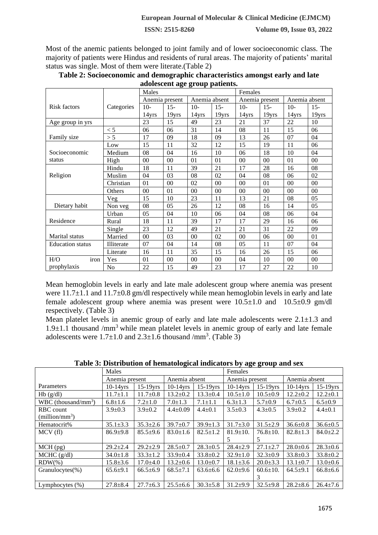**ISSN: 2515-8260 Volume 09, Issue 03, 2022**

Most of the anemic patients belonged to joint family and of lower socioeconomic class. The majority of patients were Hindus and residents of rural areas. The majority of patients' marital status was single. Most of them were literate.(Table 2)

| auvitstent age group patients. |                |                |        |               |        |                |        |               |        |  |  |
|--------------------------------|----------------|----------------|--------|---------------|--------|----------------|--------|---------------|--------|--|--|
|                                |                | Males          |        |               |        | Females        |        |               |        |  |  |
|                                |                | Anemia present |        | Anemia absent |        | Anemia present |        | Anemia absent |        |  |  |
| <b>Risk factors</b>            | Categories     | $10-$          | $15 -$ | $10-$         | $15 -$ | $10-$          | $15 -$ | $10-$         | $15 -$ |  |  |
|                                |                | 14yrs          | 19yrs  | 14yrs         | 19yrs  | 14yrs          | 19yrs  | 14yrs         | 19yrs  |  |  |
| Age group in yrs               |                | 23             | 15     | 49            | 23     | 21             | 37     | 22            | 10     |  |  |
|                                | < 5            | 06             | 06     | 31            | 14     | 08             | 11     | 15            | 06     |  |  |
| Family size                    | > 5            | 17             | 09     | 18            | 09     | 13             | 26     | 07            | 04     |  |  |
|                                | Low            | 15             | 11     | 32            | 12     | 15             | 19     | 11            | 06     |  |  |
| Socioeconomic                  | Medium         | 08             | 04     | 16            | 10     | 06             | 18     | 10            | 04     |  |  |
| status                         | High           | $00\,$         | $00\,$ | 01            | 01     | $00\,$         | $00\,$ | 01            | 00     |  |  |
|                                | Hindu          | 18             | 11     | 39            | 21     | 17             | 28     | 16            | 08     |  |  |
| Religion                       | Muslim         | 04             | 03     | 08            | 02     | 04             | 08     | 06            | 02     |  |  |
|                                | Christian      | 01             | 00     | 02            | 00     | 00             | 01     | 00            | $00\,$ |  |  |
|                                | Others         | 00             | 01     | 00            | $00\,$ | $00\,$         | 00     | 00            | 00     |  |  |
|                                | Veg            | 15             | 10     | 23            | 11     | 13             | 21     | 08            | 05     |  |  |
| Dietary habit                  | Non veg        | 08             | 05     | 26            | 12     | 08             | 16     | 14            | 05     |  |  |
|                                | Urban          | 05             | 04     | 10            | 06     | 04             | 08     | 06            | 04     |  |  |
| Residence                      | Rural          | 18             | 11     | 39            | 17     | 17             | 29     | 16            | 06     |  |  |
|                                | Single         | 23             | 12     | 49            | 21     | 21             | 31     | 22            | 09     |  |  |
| <b>Marital</b> status          | Married        | $00\,$         | 03     | $00\,$        | 02     | $00\,$         | 06     | 00            | 01     |  |  |
| <b>Education</b> status        | Illiterate     | 07             | 04     | 14            | 08     | 05             | 11     | 07            | 04     |  |  |
|                                | Literate       | 16             | 11     | 35            | 15     | 16             | 26     | 15            | 06     |  |  |
| iron<br>H/O                    | Yes            | 01             | $00\,$ | 00            | $00\,$ | 04             | 10     | $00\,$        | $00\,$ |  |  |
| prophylaxis                    | N <sub>o</sub> | 22             | 15     | 49            | 23     | 17             | 27     | 22            | 10     |  |  |

| Table 2: Socioeconomic and demographic characteristics amongst early and late |  |
|-------------------------------------------------------------------------------|--|
| adolescent age group patients.                                                |  |

Mean hemoglobin levels in early and late male adolescent group where anemia was present were 11.7 $\pm$ 1.1 and 11.7 $\pm$ 0.8 gm/dl respectively while mean hemoglobin levels in early and late female adolescent group where anemia was present were  $10.5\pm 1.0$  and  $10.5\pm 0.9$  gm/dl respectively. (Table 3)

Mean platelet levels in anemic group of early and late male adolescents were  $2.1 \pm 1.3$  and 1.9 $\pm$ 1.1 thousand /mm<sup>3</sup> while mean platelet levels in anemic group of early and late female adolescents were  $1.7\pm1.0$  and  $2.3\pm1.6$  thousand /mm<sup>3</sup>. (Table 3)

|                                 | Males          |                |                |                | Females        |                |                |                |  |
|---------------------------------|----------------|----------------|----------------|----------------|----------------|----------------|----------------|----------------|--|
|                                 | Anemia present |                | Anemia absent  |                | Anemia present |                | Anemia absent  |                |  |
| Parameters                      | $10-14$ vrs    | $15-19$ yrs    | $10-14$ vrs    | $15-19$ yrs    | $10-14$ yrs    | $15-19$ yrs    | $10-14$ vrs    | $15-19$ yrs    |  |
| Hb(g/dl)                        | $11.7 \pm 1.1$ | $11.7 \pm 0.8$ | $13.2 \pm 0.2$ | $13.3 \pm 0.4$ | $10.5 \pm 1.0$ | $10.5 \pm 0.9$ | $12.2 \pm 0.2$ | $12.2 \pm 0.1$ |  |
| WBC (thousand/mm <sup>3</sup> ) | $6.8 \pm 1.6$  | $7.2 \pm 1.0$  | $7.0 \pm 1.3$  | $7.1 \pm 1.1$  | $6.3 \pm 1.3$  | $5.7 \pm 0.9$  | $6.7 \pm 0.5$  | $6.5 \pm 0.9$  |  |
| RBC count                       | $3.9 \pm 0.3$  | $3.9 \pm 0.2$  | $4.4 \pm 0.09$ | $4.4 \pm 0.1$  | $3.5 \pm 0.3$  | $4.3 \pm 0.5$  | $3.9 \pm 0.2$  | $4.4 \pm 0.1$  |  |
| $(million/mm^3)$                |                |                |                |                |                |                |                |                |  |
| Hematocrit%                     | $35.1 \pm 3.3$ | $35.3 \pm 2.6$ | $39.7 \pm 0.7$ | $39.9 \pm 1.3$ | $31.7 \pm 3.0$ | $31.5 \pm 2.9$ | $36.6 \pm 0.8$ | $36.6 \pm 0.5$ |  |
| MCV(f)                          | $86.9{\pm}9.8$ | $85.5+9.6$     | $83.0 \pm 1.6$ | $82.5 \pm 1.2$ | $81.9 \pm 10.$ | $76.8 \pm 10.$ | $82.8 \pm 1.3$ | $84.0 \pm 2.2$ |  |
|                                 |                |                |                |                | 5              | 5              |                |                |  |
| $MCH$ (pg)                      | $29.2 \pm 2.4$ | $29.2 \pm 2.9$ | $28.5 \pm 0.7$ | $28.3 \pm 0.5$ | $28.4 \pm 2.9$ | $27.1 \pm 2.7$ | $28.0 \pm 0.6$ | $28.3 \pm 0.6$ |  |
| $MCHC$ (g/dl)                   | $34.0 \pm 1.8$ | $33.3 \pm 1.2$ | $33.9 \pm 0.4$ | $33.8 \pm 0.2$ | $32.9 \pm 1.0$ | $32.3 \pm 0.9$ | $33.8 \pm 0.3$ | $33.8 \pm 0.2$ |  |
| $RDW(\% )$                      | $15.8 \pm 3.6$ | $17.0 \pm 4.0$ | $13.2 \pm 0.6$ | $13.0 \pm 0.7$ | $18.1 \pm 3.6$ | $20.0 \pm 3.3$ | $13.1 \pm 0.7$ | $13.0 \pm 0.6$ |  |
| $Granulocytes(\% )$             | $65.6+9.1$     | $66.5 \pm 6.9$ | $68.5 \pm 7.1$ | $63.6 \pm 6.6$ | $62.0+9.6$     | $60.6 \pm 10.$ | $64.5+9.1$     | $66.8 \pm 6.6$ |  |
|                                 |                |                |                |                |                | 3              |                |                |  |
| Lymphocytes $(\%)$              | $27.8 \pm 8.4$ | $27.7 \pm 6.3$ | $25.5 \pm 6.6$ | $30.3 \pm 5.8$ | $31.2 + 9.9$   | $32.5+9.8$     | $28.2 \pm 8.6$ | $26.4 \pm 7.6$ |  |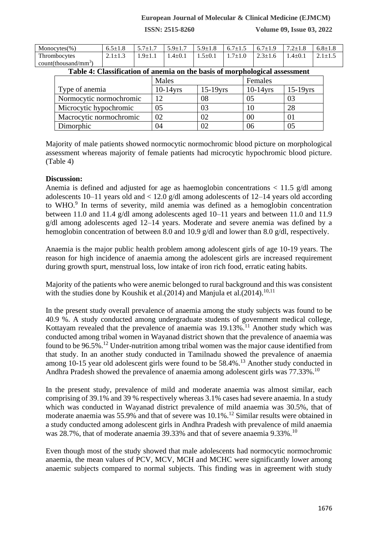### **European Journal of Molecular & Clinical Medicine (EJMCM)**

**ISSN: 2515-8260 Volume 09, Issue 03, 2022**

| Monocytes $(\% )$                  | 6.5 $\pm1.8$ | $5.7 \pm 1.7$ | $5.9 \pm 1.7$ | $5.9 \pm 1.8$ | 7±1.± | $6.7 \pm 1.9$ | $7.2 \pm 1.8$ | $6.8 \pm 1.8$ |
|------------------------------------|--------------|---------------|---------------|---------------|-------|---------------|---------------|---------------|
| Thrombocytes                       |              | $Q+1$         | $1.4 \pm 0.1$ | $1.5{\pm}0.1$ | ÷     | $2.3 \pm 1.6$ | .4 $\pm$ 0.1  | $\perp$       |
| $count$ (thousand/mm <sup>3)</sup> |              |               |               |               |       |               |               |               |

## **Table 4: Classification of anemia on the basis of morphological assessment**

|                         | Males       |             | Females     |             |  |
|-------------------------|-------------|-------------|-------------|-------------|--|
| Type of anemia          | $10-14$ yrs | $15-19$ yrs | $10-14$ yrs | $15-19$ yrs |  |
| Normocytic normochromic | 12          | 08          | 05          | 03          |  |
| Microcytic hypochromic  | 05          | 03          | 10          | 28          |  |
| Macrocytic normochromic | 02          | 02          | 00          |             |  |
| Dimorphic               | 04          | 02          | 06          | 05          |  |

Majority of male patients showed normocytic normochromic blood picture on morphological assessment whereas majority of female patients had microcytic hypochromic blood picture. (Table 4)

#### **Discussion:**

Anemia is defined and adjusted for age as haemoglobin concentrations  $\langle 11.5 \text{ g/d} \rangle$  among adolescents 10–11 years old and < 12.0 g/dl among adolescents of 12–14 years old according to WHO.<sup>9</sup> In terms of severity, mild anemia was defined as a hemoglobin concentration between 11.0 and 11.4 g/dl among adolescents aged 10–11 years and between 11.0 and 11.9 g/dl among adolescents aged 12–14 years. Moderate and severe anemia was defined by a hemoglobin concentration of between 8.0 and 10.9 g/dl and lower than 8.0 g/dl, respectively.

Anaemia is the major public health problem among adolescent girls of age 10-19 years. The reason for high incidence of anaemia among the adolescent girls are increased requirement during growth spurt, menstrual loss, low intake of iron rich food, erratic eating habits.

Majority of the patients who were anemic belonged to rural background and this was consistent with the studies done by Koushik et al.(2014) and Manjula et al.(2014).<sup>10,11</sup>

In the present study overall prevalence of anaemia among the study subjects was found to be 40.9 %. A study conducted among undergraduate students of government medical college, Kottayam revealed that the prevalence of anaemia was 19.13%.<sup>11</sup> Another study which was conducted among tribal women in Wayanad district shown that the prevalence of anaemia was found to be  $96.5\%$ .<sup>12</sup> Under-nutrition among tribal women was the major cause identified from that study. In an another study conducted in Tamilnadu showed the prevalence of anaemia among 10-15 year old adolescent girls were found to be 58.4%.<sup>13</sup> Another study conducted in Andhra Pradesh showed the prevalence of anaemia among adolescent girls was 77.33%.<sup>10</sup>

In the present study, prevalence of mild and moderate anaemia was almost similar, each comprising of 39.1% and 39 % respectively whereas 3.1% cases had severe anaemia. In a study which was conducted in Wayanad district prevalence of mild anaemia was 30.5%, that of moderate anaemia was 55.9% and that of severe was 10.1%.<sup>12</sup> Similar results were obtained in a study conducted among adolescent girls in Andhra Pradesh with prevalence of mild anaemia was 28.7%, that of moderate anaemia 39.33% and that of severe anaemia 9.33%.<sup>10</sup>

Even though most of the study showed that male adolescents had normocytic normochromic anaemia, the mean values of PCV, MCV, MCH and MCHC were significantly lower among anaemic subjects compared to normal subjects. This finding was in agreement with study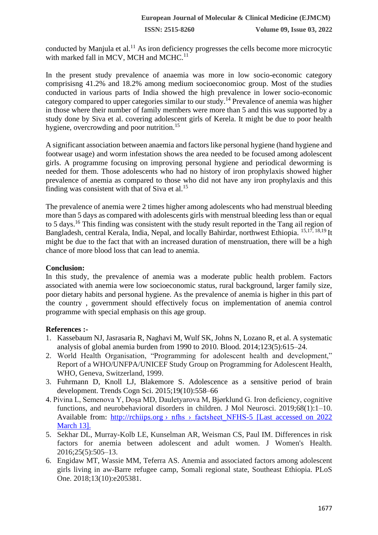conducted by Manjula et al.<sup>11</sup> As iron deficiency progresses the cells become more microcytic with marked fall in MCV, MCH and MCHC.<sup>11</sup>

In the present study prevalence of anaemia was more in low socio-economic category comprisisng 41.2% and 18.2% among medium socioeconomioc group. Most of the studies conducted in various parts of India showed the high prevalence in lower socio-economic category compared to upper categories similar to our study.<sup>14</sup> Prevalence of anemia was higher in those where their number of family members were more than 5 and this was supported by a study done by Siva et al. covering adolescent girls of Kerela. It might be due to poor health hygiene, overcrowding and poor nutrition.<sup>15</sup>

A significant association between anaemia and factors like personal hygiene (hand hygiene and footwear usage) and worm infestation shows the area needed to be focused among adolescent girls. A programme focusing on improving personal hygiene and periodical deworming is needed for them. Those adolescents who had no history of iron prophylaxis showed higher prevalence of anemia as compared to those who did not have any iron prophylaxis and this finding was consistent with that of Siva et al.<sup>15</sup>

The prevalence of anemia were 2 times higher among adolescents who had menstrual bleeding more than 5 days as compared with adolescents girls with menstrual bleeding less than or equal to 5 days.<sup>16</sup> This finding was consistent with the study result reported in the Tang ail region of Bangladesh, central Kerala, India, Nepal, and locally Bahirdar, northwest Ethiopia. 15,17, 18,19 It might be due to the fact that with an increased duration of menstruation, there will be a high chance of more blood loss that can lead to anemia.

## **Conclusion:**

In this study, the prevalence of anemia was a moderate public health problem. Factors associated with anemia were low socioeconomic status, rural background, larger family size, poor dietary habits and personal hygiene. As the prevalence of anemia is higher in this part of the country , government should effectively focus on implementation of anemia control programme with special emphasis on this age group.

# **References :-**

- 1. Kassebaum NJ, Jasrasaria R, Naghavi M, Wulf SK, Johns N, Lozano R, et al. A systematic analysis of global anemia burden from 1990 to 2010. Blood. 2014;123(5):615–24.
- 2. World Health Organisation, "Programming for adolescent health and development," Report of a WHO/UNFPA/UNICEF Study Group on Programming for Adolescent Health, WHO, Geneva, Switzerland, 1999.
- 3. Fuhrmann D, Knoll LJ, Blakemore S. Adolescence as a sensitive period of brain development. Trends Cogn Sci. 2015;19(10):558–66
- 4. Pivina L, Semenova Y, Doşa MD, Dauletyarova M, Bjørklund G. Iron deficiency, cognitive functions, and neurobehavioral disorders in children. J Mol Neurosci. 2019;68(1):1–10. Available from: http://rchiips.org  $\rightarrow$  nfhs  $\rightarrow$  factsheet NFHS-5 [Last accessed on 2022] March 13].
- 5. Sekhar DL, Murray-Kolb LE, Kunselman AR, Weisman CS, Paul IM. Differences in risk factors for anemia between adolescent and adult women. J Women's Health. 2016;25(5):505–13.
- 6. Engidaw MT, Wassie MM, Teferra AS. Anemia and associated factors among adolescent girls living in aw-Barre refugee camp, Somali regional state, Southeast Ethiopia. PLoS One. 2018;13(10):e205381.